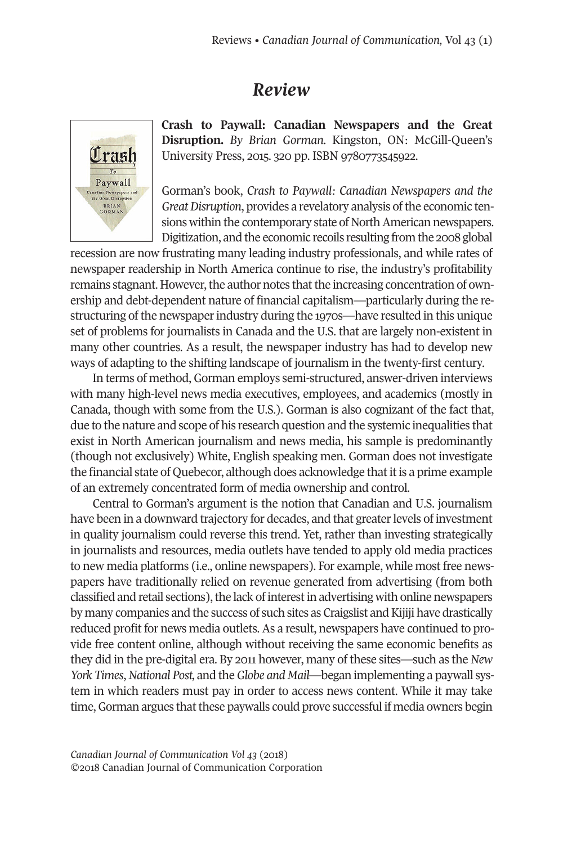## *Review*



**Crash to Paywall: Canadian Newspapers and the Great Disruption.** *By Brian Gorman.* Kin*g*ston, ON: McGill-Queen's University Press, 2015. 320 pp. ISBN 9780773545922.

Gorman's book, *Crash to Paywall: Canadian Newspapers and the* Great Disruption, provides a revelatory analysis of the economic tensions within the contemporary state of North American newspapers. Digitization, and the economic recoils resulting from the 2008 global

recession are now frustrating many leading industry professionals, and while rates of newspaper readership in North America continue to rise, the industry's profitability remains stagnant. However, the author notes that the increasing concentration of ownership and debt-dependent nature of financial capitalism—particularly during the restructuring of the newspaper industry during the 1970s—have resulted in this unique set of problems for journalists in Canada and the U.S. that are largely non-existent in many other countries. As a result, the newspaper industry has had to develop new ways of adapting to the shifting landscape of journalism in the twenty-first century.

In terms of method, Gorman employs semi-structured, answer-driven interviews with many high-level news media executives, employees, and academics (mostly in Canada, though with some from the U.S.). Gorman is also cognizant of the fact that, due to the nature and scope of his research question and the systemic inequalities that exist in North American journalism and news media, his sample is predominantly (though not exclusively) White, English speaking men. Gorman does not investigate the financial state of Quebecor, although does acknowledge thatitis a prime example of an extremely concentrated form of media ownership and control.

Central to Gorman's argument is the notion that Canadian and U.S. journalism have been in a downward trajectory for decades, and that greater levels of investment in quality journalism could reverse this trend. Yet, rather than investing strategically in journalists and resources, media outlets have tended to apply old media practices to new media platforms (i.e., online newspapers). For example, while most free newspapers have traditionally relied on revenue generated from advertising (from both classified and retail sections), the lack of interest in advertising with online newspapers by many companies and the success of such sites as Craigslist and Kijiji have drastically reduced profit for news media outlets. As a result, newspapers have continued to provide free content online, although without receiving the same economic benefits as they did in the pre-digital era. By 2011 however, many of these sites—such as the *New York Times*,*National Post,* and the*Globe and Mail*—began implementing a paywall system in which readers must pay in order to access news content. While it may take time, Gorman argues that these paywalls could prove successful if media owners begin

*Canadian Journal of [Communication](http://www.cjc-online.ca) Vol 43* (2018) ©2018 Canadian Journal of Communication Corporation